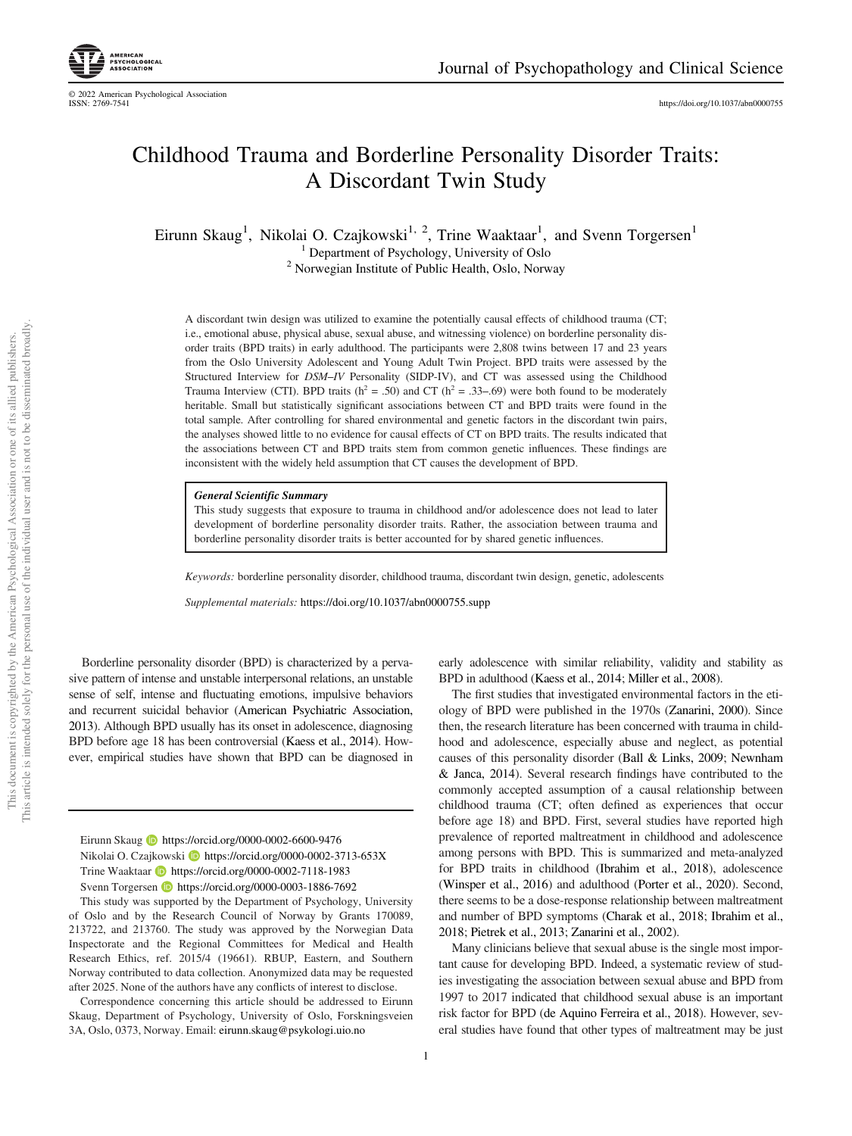https://doi.org/10.1037/abn0000755

# Childhood Trauma and Borderline Personality Disorder Traits: A Discordant Twin Study

Eirunn Skaug<sup>1</sup>, Nikolai O. Czajkowski<sup>1, 2</sup>, Trine Waaktaar<sup>1</sup>, and Svenn Torgersen<sup>1</sup> <sup>1</sup> Department of Psychology, University of Oslo <sup>2</sup> Norwegian Institute of Public Health, Oslo, Norway

A discordant twin design was utilized to examine the potentially causal effects of childhood trauma (CT; i.e., emotional abuse, physical abuse, sexual abuse, and witnessing violence) on borderline personality disorder traits (BPD traits) in early adulthood. The participants were 2,808 twins between 17 and 23 years from the Oslo University Adolescent and Young Adult Twin Project. BPD traits were assessed by the Structured Interview for *DSM*–*IV* Personality (SIDP-IV), and CT was assessed using the Childhood Trauma Interview (CTI). BPD traits ( $h^2 = .50$ ) and CT ( $h^2 = .33–.69$ ) were both found to be moderately heritable. Small but statistically significant associations between CT and BPD traits were found in the total sample. After controlling for shared environmental and genetic factors in the discordant twin pairs, the analyses showed little to no evidence for causal effects of CT on BPD traits. The results indicated that the associations between CT and BPD traits stem from common genetic influences. These findings are inconsistent with the widely held assumption that CT causes the development of BPD.

General Scientific Summary

This study suggests that exposure to trauma in childhood and/or adolescence does not lead to later development of borderline personality disorder traits. Rather, the association between trauma and borderline personality disorder traits is better accounted for by shared genetic influences.

*Keywords:* borderline personality disorder, childhood trauma, discordant twin design, genetic, adolescents

*Supplemental materials:* https://doi.org/10.1037/abn0000755.supp

Borderline personality disorder (BPD) is characterized by a pervasive pattern of intense and unstable interpersonal relations, an unstable sense of self, intense and fluctuating emotions, impulsive behaviors and recurrent suicidal behavior (American Psychiatric Association, 2013). Although BPD usually has its onset in adolescence, diagnosing BPD before age 18 has been controversial (Kaess et al., 2014). However, empirical studies have shown that BPD can be diagnosed in

Eirunn Skaug **D** https://orcid.org/0000-0002-6600-9476 Nikolai O. Czajkowski **b** https://orcid.org/0000-0002-3713-653X Trine Waaktaar **https://orcid.org/0000-0002-7118-1983** Svenn Torgersen **https://orcid.org/0000-0003-1886-7692** 

This study was supported by the Department of Psychology, University of Oslo and by the Research Council of Norway by Grants 170089, 213722, and 213760. The study was approved by the Norwegian Data Inspectorate and the Regional Committees for Medical and Health Research Ethics, ref. 2015/4 (19661). RBUP, Eastern, and Southern Norway contributed to data collection. Anonymized data may be requested after 2025. None of the authors have any conflicts of interest to disclose.

Correspondence concerning this article should be addressed to Eirunn Skaug, Department of Psychology, University of Oslo, Forskningsveien 3A, Oslo, 0373, Norway. Email: eirunn.skaug@psykologi.uio.no

early adolescence with similar reliability, validity and stability as BPD in adulthood (Kaess et al., 2014; Miller et al., 2008).

The first studies that investigated environmental factors in the etiology of BPD were published in the 1970s (Zanarini, 2000). Since then, the research literature has been concerned with trauma in childhood and adolescence, especially abuse and neglect, as potential causes of this personality disorder (Ball & Links, 2009; Newnham & Janca, 2014). Several research findings have contributed to the commonly accepted assumption of a causal relationship between childhood trauma (CT; often defined as experiences that occur before age 18) and BPD. First, several studies have reported high prevalence of reported maltreatment in childhood and adolescence among persons with BPD. This is summarized and meta-analyzed for BPD traits in childhood (Ibrahim et al., 2018), adolescence (Winsper et al., 2016) and adulthood (Porter et al., 2020). Second, there seems to be a dose-response relationship between maltreatment and number of BPD symptoms (Charak et al., 2018; Ibrahim et al., 2018; Pietrek et al., 2013; Zanarini et al., 2002).

Many clinicians believe that sexual abuse is the single most important cause for developing BPD. Indeed, a systematic review of studies investigating the association between sexual abuse and BPD from 1997 to 2017 indicated that childhood sexual abuse is an important risk factor for BPD (de Aquino Ferreira et al., 2018). However, several studies have found that other types of maltreatment may be just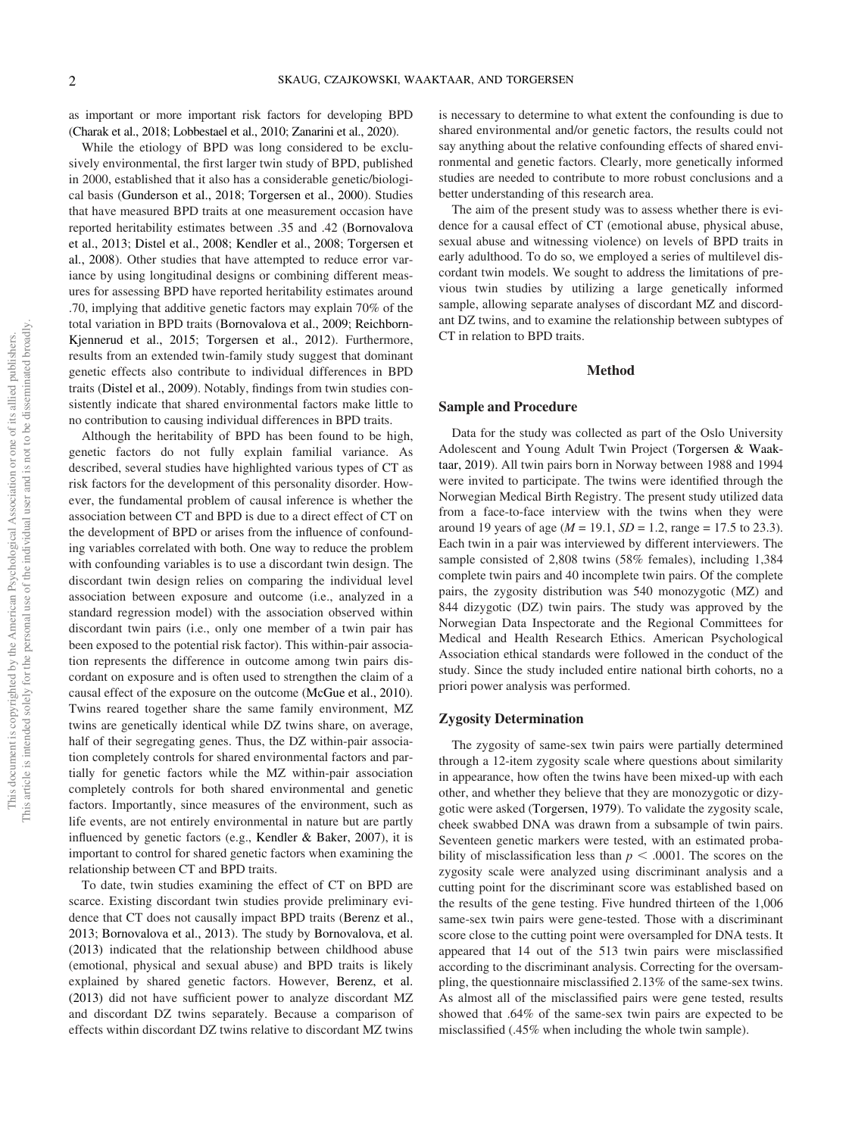as important or more important risk factors for developing BPD (Charak et al., 2018; Lobbestael et al., 2010; Zanarini et al., 2020).

While the etiology of BPD was long considered to be exclusively environmental, the first larger twin study of BPD, published in 2000, established that it also has a considerable genetic/biological basis (Gunderson et al., 2018; Torgersen et al., 2000). Studies that have measured BPD traits at one measurement occasion have reported heritability estimates between .35 and .42 (Bornovalova et al., 2013; Distel et al., 2008; Kendler et al., 2008; Torgersen et al., 2008). Other studies that have attempted to reduce error variance by using longitudinal designs or combining different measures for assessing BPD have reported heritability estimates around .70, implying that additive genetic factors may explain 70% of the total variation in BPD traits (Bornovalova et al., 2009; Reichborn-Kjennerud et al., 2015; Torgersen et al., 2012). Furthermore, results from an extended twin-family study suggest that dominant genetic effects also contribute to individual differences in BPD traits (Distel et al., 2009). Notably, findings from twin studies consistently indicate that shared environmental factors make little to no contribution to causing individual differences in BPD traits.

Although the heritability of BPD has been found to be high, genetic factors do not fully explain familial variance. As described, several studies have highlighted various types of CT as risk factors for the development of this personality disorder. However, the fundamental problem of causal inference is whether the association between CT and BPD is due to a direct effect of CT on the development of BPD or arises from the influence of confounding variables correlated with both. One way to reduce the problem with confounding variables is to use a discordant twin design. The discordant twin design relies on comparing the individual level association between exposure and outcome (i.e., analyzed in a standard regression model) with the association observed within discordant twin pairs (i.e., only one member of a twin pair has been exposed to the potential risk factor). This within-pair association represents the difference in outcome among twin pairs discordant on exposure and is often used to strengthen the claim of a causal effect of the exposure on the outcome (McGue et al., 2010). Twins reared together share the same family environment, MZ twins are genetically identical while DZ twins share, on average, half of their segregating genes. Thus, the DZ within-pair association completely controls for shared environmental factors and partially for genetic factors while the MZ within-pair association completely controls for both shared environmental and genetic factors. Importantly, since measures of the environment, such as life events, are not entirely environmental in nature but are partly influenced by genetic factors (e.g., Kendler & Baker, 2007), it is important to control for shared genetic factors when examining the relationship between CT and BPD traits.

To date, twin studies examining the effect of CT on BPD are scarce. Existing discordant twin studies provide preliminary evidence that CT does not causally impact BPD traits (Berenz et al., 2013; Bornovalova et al., 2013). The study by Bornovalova, et al. (2013) indicated that the relationship between childhood abuse (emotional, physical and sexual abuse) and BPD traits is likely explained by shared genetic factors. However, Berenz, et al. (2013) did not have sufficient power to analyze discordant MZ and discordant DZ twins separately. Because a comparison of effects within discordant DZ twins relative to discordant MZ twins is necessary to determine to what extent the confounding is due to shared environmental and/or genetic factors, the results could not say anything about the relative confounding effects of shared environmental and genetic factors. Clearly, more genetically informed studies are needed to contribute to more robust conclusions and a better understanding of this research area.

The aim of the present study was to assess whether there is evidence for a causal effect of CT (emotional abuse, physical abuse, sexual abuse and witnessing violence) on levels of BPD traits in early adulthood. To do so, we employed a series of multilevel discordant twin models. We sought to address the limitations of previous twin studies by utilizing a large genetically informed sample, allowing separate analyses of discordant MZ and discordant DZ twins, and to examine the relationship between subtypes of CT in relation to BPD traits.

# Method

#### Sample and Procedure

Data for the study was collected as part of the Oslo University Adolescent and Young Adult Twin Project (Torgersen & Waaktaar, 2019). All twin pairs born in Norway between 1988 and 1994 were invited to participate. The twins were identified through the Norwegian Medical Birth Registry. The present study utilized data from a face-to-face interview with the twins when they were around 19 years of age ( $M = 19.1$ ,  $SD = 1.2$ , range = 17.5 to 23.3). Each twin in a pair was interviewed by different interviewers. The sample consisted of 2,808 twins (58% females), including 1,384 complete twin pairs and 40 incomplete twin pairs. Of the complete pairs, the zygosity distribution was 540 monozygotic (MZ) and 844 dizygotic (DZ) twin pairs. The study was approved by the Norwegian Data Inspectorate and the Regional Committees for Medical and Health Research Ethics. American Psychological Association ethical standards were followed in the conduct of the study. Since the study included entire national birth cohorts, no a priori power analysis was performed.

## Zygosity Determination

The zygosity of same-sex twin pairs were partially determined through a 12-item zygosity scale where questions about similarity in appearance, how often the twins have been mixed-up with each other, and whether they believe that they are monozygotic or dizygotic were asked (Torgersen, 1979). To validate the zygosity scale, cheek swabbed DNA was drawn from a subsample of twin pairs. Seventeen genetic markers were tested, with an estimated probability of misclassification less than  $p < .0001$ . The scores on the zygosity scale were analyzed using discriminant analysis and a cutting point for the discriminant score was established based on the results of the gene testing. Five hundred thirteen of the 1,006 same-sex twin pairs were gene-tested. Those with a discriminant score close to the cutting point were oversampled for DNA tests. It appeared that 14 out of the 513 twin pairs were misclassified according to the discriminant analysis. Correcting for the oversampling, the questionnaire misclassified 2.13% of the same-sex twins. As almost all of the misclassified pairs were gene tested, results showed that .64% of the same-sex twin pairs are expected to be misclassified (.45% when including the whole twin sample).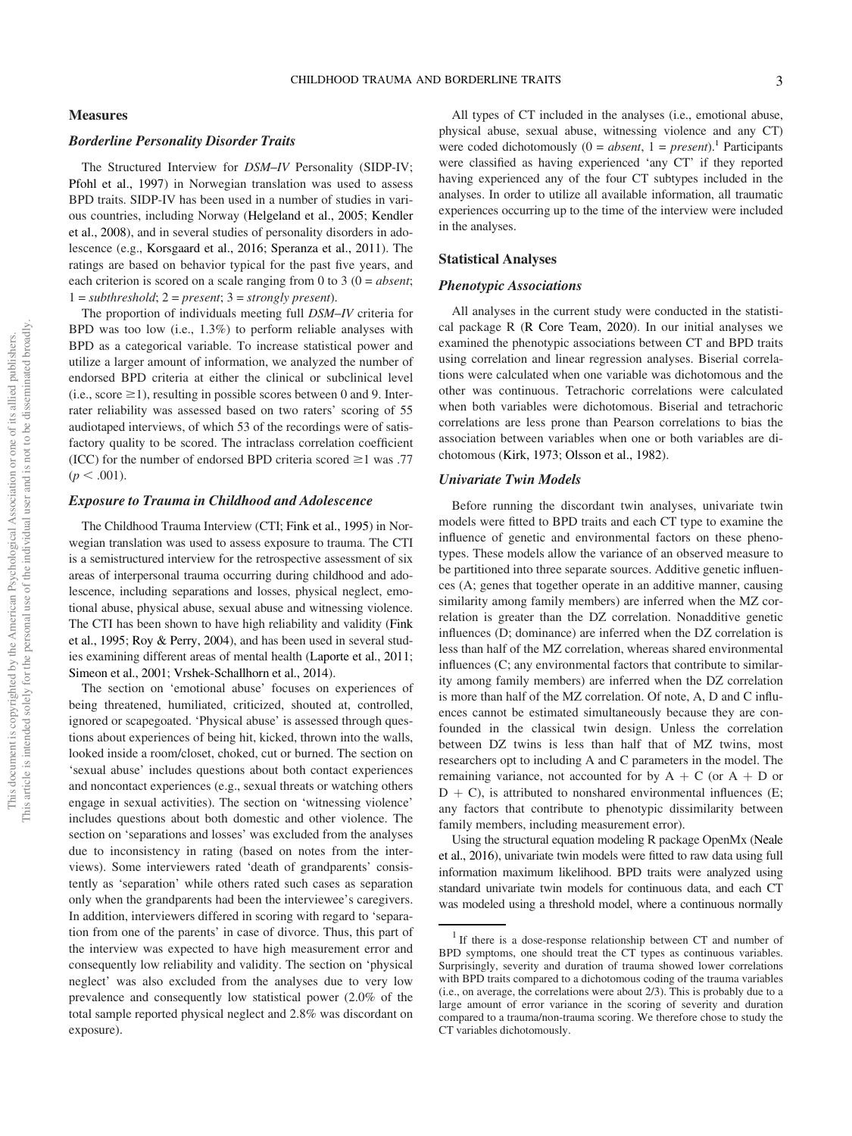## **Measures**

## Borderline Personality Disorder Traits

The Structured Interview for *DSM*–*IV* Personality (SIDP-IV; Pfohl et al., 1997) in Norwegian translation was used to assess BPD traits. SIDP-IV has been used in a number of studies in various countries, including Norway (Helgeland et al., 2005; Kendler et al., 2008), and in several studies of personality disorders in adolescence (e.g., Korsgaard et al., 2016; Speranza et al., 2011). The ratings are based on behavior typical for the past five years, and each criterion is scored on a scale ranging from 0 to 3 (0 = *absent*; 1 = *subthreshold*;2= *present*;3= *strongly present*).

The proportion of individuals meeting full *DSM*–*IV* criteria for BPD was too low (i.e., 1.3%) to perform reliable analyses with BPD as a categorical variable. To increase statistical power and utilize a larger amount of information, we analyzed the number of endorsed BPD criteria at either the clinical or subclinical level (i.e., score  $\geq$ 1), resulting in possible scores between 0 and 9. Interrater reliability was assessed based on two raters' scoring of 55 audiotaped interviews, of which 53 of the recordings were of satisfactory quality to be scored. The intraclass correlation coefficient (ICC) for the number of endorsed BPD criteria scored  $\geq$  1 was .77  $(p < .001)$ .

# Exposure to Trauma in Childhood and Adolescence

The Childhood Trauma Interview (CTI; Fink et al., 1995) in Norwegian translation was used to assess exposure to trauma. The CTI is a semistructured interview for the retrospective assessment of six areas of interpersonal trauma occurring during childhood and adolescence, including separations and losses, physical neglect, emotional abuse, physical abuse, sexual abuse and witnessing violence. The CTI has been shown to have high reliability and validity (Fink et al., 1995; Roy & Perry, 2004), and has been used in several studies examining different areas of mental health (Laporte et al., 2011; Simeon et al., 2001; Vrshek-Schallhorn et al., 2014).

The section on 'emotional abuse' focuses on experiences of being threatened, humiliated, criticized, shouted at, controlled, ignored or scapegoated. 'Physical abuse' is assessed through questions about experiences of being hit, kicked, thrown into the walls, looked inside a room/closet, choked, cut or burned. The section on 'sexual abuse' includes questions about both contact experiences and noncontact experiences (e.g., sexual threats or watching others engage in sexual activities). The section on 'witnessing violence' includes questions about both domestic and other violence. The section on 'separations and losses' was excluded from the analyses due to inconsistency in rating (based on notes from the interviews). Some interviewers rated 'death of grandparents' consistently as 'separation' while others rated such cases as separation only when the grandparents had been the interviewee's caregivers. In addition, interviewers differed in scoring with regard to 'separation from one of the parents' in case of divorce. Thus, this part of the interview was expected to have high measurement error and consequently low reliability and validity. The section on 'physical neglect' was also excluded from the analyses due to very low prevalence and consequently low statistical power (2.0% of the total sample reported physical neglect and 2.8% was discordant on exposure).

## Statistical Analyses

# Phenotypic Associations

All analyses in the current study were conducted in the statistical package R (R Core Team, 2020). In our initial analyses we examined the phenotypic associations between CT and BPD traits using correlation and linear regression analyses. Biserial correlations were calculated when one variable was dichotomous and the other was continuous. Tetrachoric correlations were calculated when both variables were dichotomous. Biserial and tetrachoric correlations are less prone than Pearson correlations to bias the association between variables when one or both variables are dichotomous (Kirk, 1973; Olsson et al., 1982).

# Univariate Twin Models

Before running the discordant twin analyses, univariate twin models were fitted to BPD traits and each CT type to examine the influence of genetic and environmental factors on these phenotypes. These models allow the variance of an observed measure to be partitioned into three separate sources. Additive genetic influences (A; genes that together operate in an additive manner, causing similarity among family members) are inferred when the MZ correlation is greater than the DZ correlation. Nonadditive genetic influences (D; dominance) are inferred when the DZ correlation is less than half of the MZ correlation, whereas shared environmental influences (C; any environmental factors that contribute to similarity among family members) are inferred when the DZ correlation is more than half of the MZ correlation. Of note, A, D and C influences cannot be estimated simultaneously because they are confounded in the classical twin design. Unless the correlation between DZ twins is less than half that of MZ twins, most researchers opt to including A and C parameters in the model. The remaining variance, not accounted for by  $A + C$  (or  $A + D$  or  $D + C$ ), is attributed to nonshared environmental influences (E; any factors that contribute to phenotypic dissimilarity between family members, including measurement error).

Using the structural equation modeling R package OpenMx (Neale et al., 2016), univariate twin models were fitted to raw data using full information maximum likelihood. BPD traits were analyzed using standard univariate twin models for continuous data, and each CT was modeled using a threshold model, where a continuous normally

<sup>&</sup>lt;sup>1</sup> If there is a dose-response relationship between CT and number of BPD symptoms, one should treat the CT types as continuous variables. Surprisingly, severity and duration of trauma showed lower correlations with BPD traits compared to a dichotomous coding of the trauma variables (i.e., on average, the correlations were about 2/3). This is probably due to a large amount of error variance in the scoring of severity and duration compared to a trauma/non-trauma scoring. We therefore chose to study the CT variables dichotomously.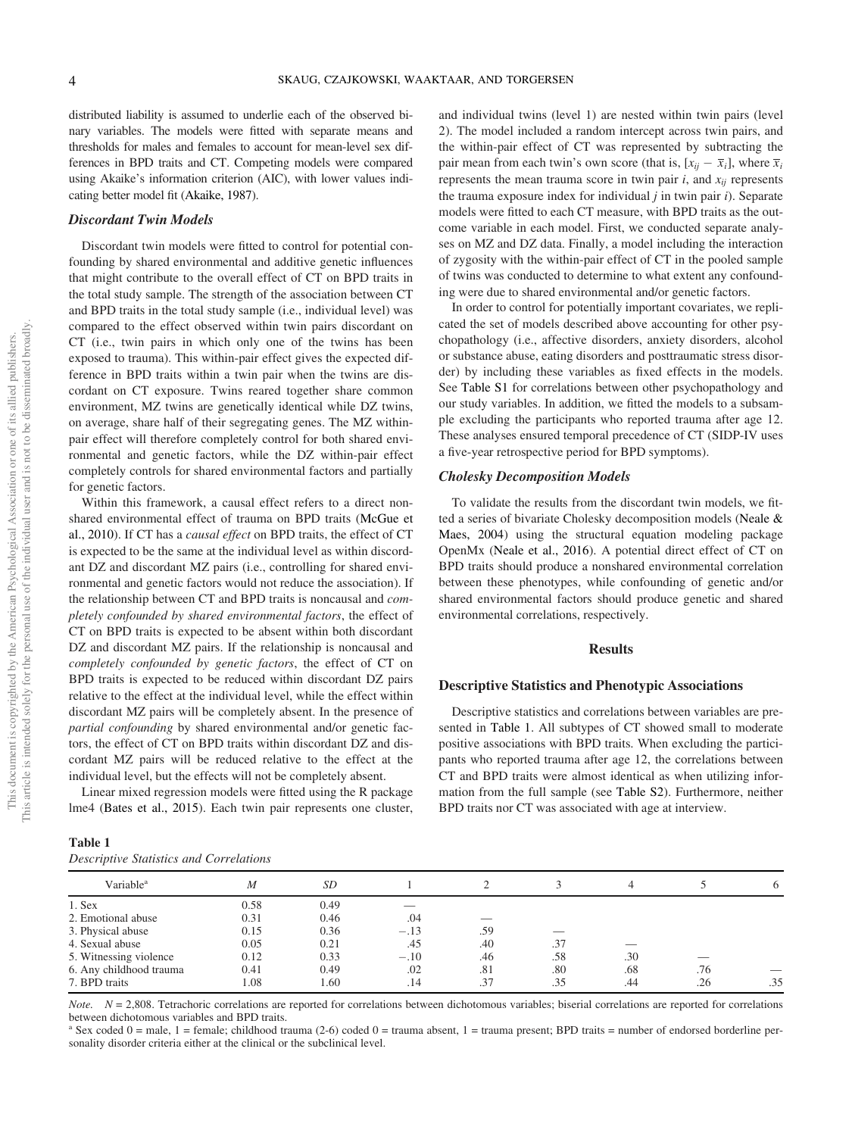distributed liability is assumed to underlie each of the observed binary variables. The models were fitted with separate means and thresholds for males and females to account for mean-level sex differences in BPD traits and CT. Competing models were compared using Akaike's information criterion (AIC), with lower values indicating better model fit (Akaike, 1987).

## Discordant Twin Models

Discordant twin models were fitted to control for potential confounding by shared environmental and additive genetic influences that might contribute to the overall effect of CT on BPD traits in the total study sample. The strength of the association between CT and BPD traits in the total study sample (i.e., individual level) was compared to the effect observed within twin pairs discordant on CT (i.e., twin pairs in which only one of the twins has been exposed to trauma). This within-pair effect gives the expected difference in BPD traits within a twin pair when the twins are discordant on CT exposure. Twins reared together share common environment, MZ twins are genetically identical while DZ twins, on average, share half of their segregating genes. The MZ withinpair effect will therefore completely control for both shared environmental and genetic factors, while the DZ within-pair effect completely controls for shared environmental factors and partially for genetic factors.

Within this framework, a causal effect refers to a direct nonshared environmental effect of trauma on BPD traits (McGue et al., 2010). If CT has a *causal effect* on BPD traits, the effect of CT is expected to be the same at the individual level as within discordant DZ and discordant MZ pairs (i.e., controlling for shared environmental and genetic factors would not reduce the association). If the relationship between CT and BPD traits is noncausal and *completely confounded by shared environmental factors*, the effect of CT on BPD traits is expected to be absent within both discordant DZ and discordant MZ pairs. If the relationship is noncausal and *completely confounded by genetic factors*, the effect of CT on BPD traits is expected to be reduced within discordant DZ pairs relative to the effect at the individual level, while the effect within discordant MZ pairs will be completely absent. In the presence of *partial confounding* by shared environmental and/or genetic factors, the effect of CT on BPD traits within discordant DZ and discordant MZ pairs will be reduced relative to the effect at the individual level, but the effects will not be completely absent.

Linear mixed regression models were fitted using the R package lme4 (Bates et al., 2015). Each twin pair represents one cluster,

| Table 1 |  |                                         |  |
|---------|--|-----------------------------------------|--|
|         |  | Descriptive Statistics and Correlations |  |

and individual twins (level 1) are nested within twin pairs (level 2). The model included a random intercept across twin pairs, and the within-pair effect of CT was represented by subtracting the pair mean from each twin's own score (that is,  $[x_{ij} - \overline{x}_i]$ , where  $\overline{x}_i$ represents the mean trauma score in twin pair  $i$ , and  $x_{ij}$  represents the trauma exposure index for individual *j* in twin pair *i*). Separate models were fitted to each CT measure, with BPD traits as the outcome variable in each model. First, we conducted separate analyses on MZ and DZ data. Finally, a model including the interaction of zygosity with the within-pair effect of CT in the pooled sample of twins was conducted to determine to what extent any confounding were due to shared environmental and/or genetic factors.

In order to control for potentially important covariates, we replicated the set of models described above accounting for other psychopathology (i.e., affective disorders, anxiety disorders, alcohol or substance abuse, eating disorders and posttraumatic stress disorder) by including these variables as fixed effects in the models. See Table S1 for correlations between other psychopathology and our study variables. In addition, we fitted the models to a subsample excluding the participants who reported trauma after age 12. These analyses ensured temporal precedence of CT (SIDP-IV uses a five-year retrospective period for BPD symptoms).

## Cholesky Decomposition Models

To validate the results from the discordant twin models, we fitted a series of bivariate Cholesky decomposition models (Neale & Maes, 2004) using the structural equation modeling package OpenMx (Neale et al., 2016). A potential direct effect of CT on BPD traits should produce a nonshared environmental correlation between these phenotypes, while confounding of genetic and/or shared environmental factors should produce genetic and shared environmental correlations, respectively.

## Results

## Descriptive Statistics and Phenotypic Associations

Descriptive statistics and correlations between variables are presented in Table 1. All subtypes of CT showed small to moderate positive associations with BPD traits. When excluding the participants who reported trauma after age 12, the correlations between CT and BPD traits were almost identical as when utilizing information from the full sample (see Table S2). Furthermore, neither BPD traits nor CT was associated with age at interview.

| Descriptive Statistics and Correlations |      |      |        |     |     |     |     |     |
|-----------------------------------------|------|------|--------|-----|-----|-----|-----|-----|
| Variable <sup>a</sup>                   | М    | SD   |        |     |     |     |     | 6   |
| $1.$ Sex                                | 0.58 | 0.49 |        |     |     |     |     |     |
| 2. Emotional abuse                      | 0.31 | 0.46 | .04    |     |     |     |     |     |
| 3. Physical abuse                       | 0.15 | 0.36 | $-.13$ | .59 |     |     |     |     |
| 4. Sexual abuse                         | 0.05 | 0.21 | .45    | .40 | .37 |     |     |     |
| 5. Witnessing violence                  | 0.12 | 0.33 | $-.10$ | .46 | .58 | .30 |     |     |
| 6. Any childhood trauma                 | 0.41 | 0.49 | .02    | .81 | .80 | .68 | .76 |     |
| 7. BPD traits                           | 1.08 | 1.60 | .14    | .37 | .35 | .44 | .26 | .35 |

*Note.*  $N = 2.808$ . Tetrachoric correlations are reported for correlations between dichotomous variables; biserial correlations are reported for correlations between dichotomous variables and BPD traits.

<sup>a</sup> Sex coded  $0 =$  male,  $1 =$  female; childhood trauma (2-6) coded  $0 =$  trauma absent,  $1 =$  trauma present; BPD traits = number of endorsed borderline personality disorder criteria either at the clinical or the subclinical level.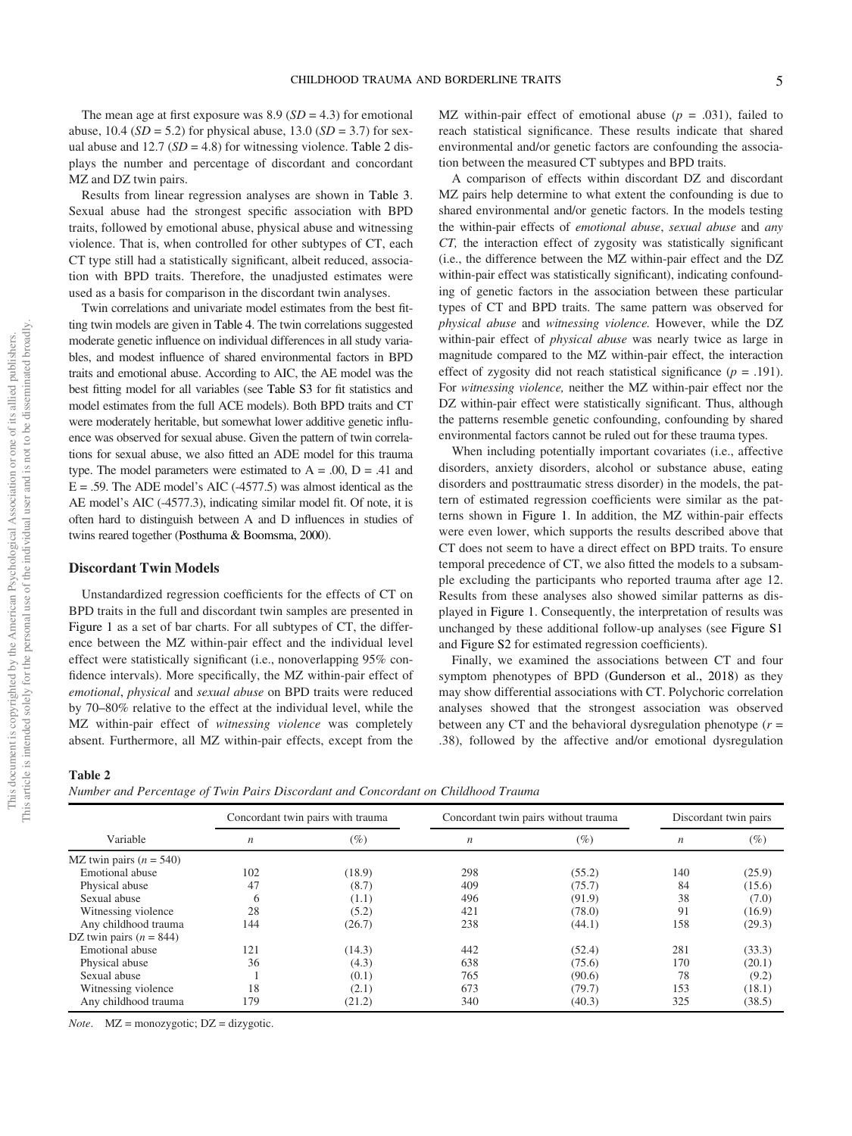The mean age at first exposure was  $8.9$  ( $SD = 4.3$ ) for emotional abuse,  $10.4$  (*SD* = 5.2) for physical abuse,  $13.0$  (*SD* = 3.7) for sexual abuse and  $12.7$  ( $SD = 4.8$ ) for witnessing violence. Table 2 displays the number and percentage of discordant and concordant MZ and DZ twin pairs.

Results from linear regression analyses are shown in Table 3. Sexual abuse had the strongest specific association with BPD traits, followed by emotional abuse, physical abuse and witnessing violence. That is, when controlled for other subtypes of CT, each CT type still had a statistically significant, albeit reduced, association with BPD traits. Therefore, the unadjusted estimates were used as a basis for comparison in the discordant twin analyses.

Twin correlations and univariate model estimates from the best fitting twin models are given in Table 4. The twin correlations suggested moderate genetic influence on individual differences in all study variables, and modest influence of shared environmental factors in BPD traits and emotional abuse. According to AIC, the AE model was the best fitting model for all variables (see Table S3 for fit statistics and model estimates from the full ACE models). Both BPD traits and CT were moderately heritable, but somewhat lower additive genetic influence was observed for sexual abuse. Given the pattern of twin correlations for sexual abuse, we also fitted an ADE model for this trauma type. The model parameters were estimated to  $A = .00$ ,  $D = .41$  and  $E = .59$ . The ADE model's AIC (-4577.5) was almost identical as the AE model's AIC (-4577.3), indicating similar model fit. Of note, it is often hard to distinguish between A and D influences in studies of twins reared together (Posthuma & Boomsma, 2000).

## Discordant Twin Models

Unstandardized regression coefficients for the effects of CT on BPD traits in the full and discordant twin samples are presented in Figure 1 as a set of bar charts. For all subtypes of CT, the difference between the MZ within-pair effect and the individual level effect were statistically significant (i.e., nonoverlapping 95% confidence intervals). More specifically, the MZ within-pair effect of *emotional*, *physical* and *sexual abuse* on BPD traits were reduced by 70–80% relative to the effect at the individual level, while the MZ within-pair effect of *witnessing violence* was completely absent. Furthermore, all MZ within-pair effects, except from the MZ within-pair effect of emotional abuse  $(p = .031)$ , failed to reach statistical significance. These results indicate that shared environmental and/or genetic factors are confounding the association between the measured CT subtypes and BPD traits.

A comparison of effects within discordant DZ and discordant MZ pairs help determine to what extent the confounding is due to shared environmental and/or genetic factors. In the models testing the within-pair effects of *emotional abuse*, *sexual abuse* and *any CT,* the interaction effect of zygosity was statistically significant (i.e., the difference between the MZ within-pair effect and the DZ within-pair effect was statistically significant), indicating confounding of genetic factors in the association between these particular types of CT and BPD traits. The same pattern was observed for *physical abuse* and *witnessing violence.* However, while the DZ within-pair effect of *physical abuse* was nearly twice as large in magnitude compared to the MZ within-pair effect, the interaction effect of zygosity did not reach statistical significance  $(p = .191)$ . For *witnessing violence,* neither the MZ within-pair effect nor the DZ within-pair effect were statistically significant. Thus, although the patterns resemble genetic confounding, confounding by shared environmental factors cannot be ruled out for these trauma types.

When including potentially important covariates (i.e., affective disorders, anxiety disorders, alcohol or substance abuse, eating disorders and posttraumatic stress disorder) in the models, the pattern of estimated regression coefficients were similar as the patterns shown in Figure 1. In addition, the MZ within-pair effects were even lower, which supports the results described above that CT does not seem to have a direct effect on BPD traits. To ensure temporal precedence of CT, we also fitted the models to a subsample excluding the participants who reported trauma after age 12. Results from these analyses also showed similar patterns as displayed in Figure 1. Consequently, the interpretation of results was unchanged by these additional follow-up analyses (see Figure S1 and Figure S2 for estimated regression coefficients).

Finally, we examined the associations between CT and four symptom phenotypes of BPD (Gunderson et al., 2018) as they may show differential associations with CT. Polychoric correlation analyses showed that the strongest association was observed between any CT and the behavioral dysregulation phenotype (*r* = .38), followed by the affective and/or emotional dysregulation

Table 2

*Number and Percentage of Twin Pairs Discordant and Concordant on Childhood Trauma*

|                           | Concordant twin pairs with trauma |        | Concordant twin pairs without trauma |        | Discordant twin pairs |        |
|---------------------------|-----------------------------------|--------|--------------------------------------|--------|-----------------------|--------|
| Variable                  | $\boldsymbol{n}$                  | $(\%)$ | n                                    | (%)    | $\boldsymbol{n}$      | $(\%)$ |
| MZ twin pairs $(n = 540)$ |                                   |        |                                      |        |                       |        |
| Emotional abuse           | 102                               | (18.9) | 298                                  | (55.2) | 140                   | (25.9) |
| Physical abuse            | 47                                | (8.7)  | 409                                  | (75.7) | 84                    | (15.6) |
| Sexual abuse              |                                   | (1.1)  | 496                                  | (91.9) | 38                    | (7.0)  |
| Witnessing violence       | 28                                | (5.2)  | 421                                  | (78.0) | 91                    | (16.9) |
| Any childhood trauma      | 144                               | (26.7) | 238                                  | (44.1) | 158                   | (29.3) |
| DZ twin pairs $(n = 844)$ |                                   |        |                                      |        |                       |        |
| Emotional abuse           | 121                               | (14.3) | 442                                  | (52.4) | 281                   | (33.3) |
| Physical abuse            | 36                                | (4.3)  | 638                                  | (75.6) | 170                   | (20.1) |
| Sexual abuse              |                                   | (0.1)  | 765                                  | (90.6) | 78                    | (9.2)  |
| Witnessing violence       | 18                                | (2.1)  | 673                                  | (79.7) | 153                   | (18.1) |
| Any childhood trauma      | 179                               | (21.2) | 340                                  | (40.3) | 325                   | (38.5) |

*Note*. MZ = monozygotic; DZ = dizygotic.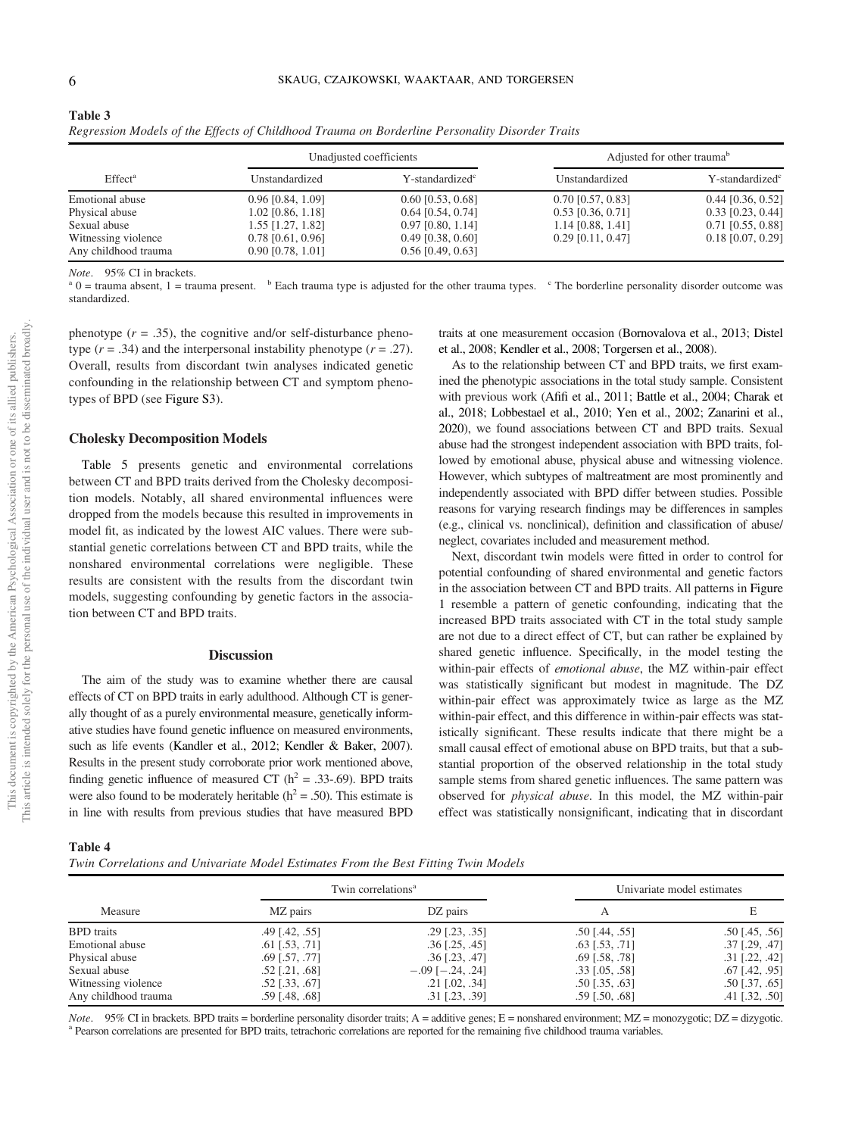Table 3

|                                             |                                            | Unadjusted coefficients                    | Adjusted for other trauma <sup>b</sup> |                             |  |
|---------------------------------------------|--------------------------------------------|--------------------------------------------|----------------------------------------|-----------------------------|--|
| Effect <sup>a</sup>                         | Unstandardized                             | Y-standardized <sup>c</sup>                | Unstandardized                         | Y-standardized <sup>c</sup> |  |
| Emotional abuse                             | $0.96$ [0.84, 1.09]                        | $0.60$ [0.53, 0.68]                        | $0.70$ [0.57, 0.83]                    | $0.44$ [0.36, 0.52]         |  |
| Physical abuse                              | 1.02 [0.86, 1.18]                          | $0.64$ [0.54, 0.74]                        | $0.53$ [0.36, 0.71]                    | $0.33$ [0.23, 0.44]         |  |
| Sexual abuse                                | 1.55 [1.27, 1.82]                          | $0.97$ [0.80, 1.14]                        | $1.14$ [0.88, 1.41]                    | $0.71$ [0.55, 0.88]         |  |
| Witnessing violence<br>Any childhood trauma | $0.78$ [0.61, 0.96]<br>$0.90$ [0.78, 1.01] | $0.49$ [0.38, 0.60]<br>$0.56$ [0.49, 0.63] | $0.29$ [0.11, 0.47]                    | $0.18$ [0.07, 0.29]         |  |

*Regression Models of the Effects of Childhood Trauma on Borderline Personality Disorder Traits*

*Note*. 95% CI in brackets.

 $a<sup>a</sup>$  0 = trauma absent, 1 = trauma present.  $b<sup>b</sup>$  Each trauma type is adjusted for the other trauma types.  $c<sup>c</sup>$  The borderline personality disorder outcome was standardized.

phenotype  $(r = .35)$ , the cognitive and/or self-disturbance phenotype  $(r = .34)$  and the interpersonal instability phenotype  $(r = .27)$ . Overall, results from discordant twin analyses indicated genetic confounding in the relationship between CT and symptom phenotypes of BPD (see Figure S3).

#### Cholesky Decomposition Models

Table 5 presents genetic and environmental correlations between CT and BPD traits derived from the Cholesky decomposition models. Notably, all shared environmental influences were dropped from the models because this resulted in improvements in model fit, as indicated by the lowest AIC values. There were substantial genetic correlations between CT and BPD traits, while the nonshared environmental correlations were negligible. These results are consistent with the results from the discordant twin models, suggesting confounding by genetic factors in the association between CT and BPD traits.

#### **Discussion**

The aim of the study was to examine whether there are causal effects of CT on BPD traits in early adulthood. Although CT is generally thought of as a purely environmental measure, genetically informative studies have found genetic influence on measured environments, such as life events (Kandler et al., 2012; Kendler & Baker, 2007). Results in the present study corroborate prior work mentioned above, finding genetic influence of measured CT ( $h^2 = .33$ -.69). BPD traits were also found to be moderately heritable ( $h^2 = .50$ ). This estimate is in line with results from previous studies that have measured BPD

traits at one measurement occasion (Bornovalova et al., 2013; Distel et al., 2008; Kendler et al., 2008; Torgersen et al., 2008).

As to the relationship between CT and BPD traits, we first examined the phenotypic associations in the total study sample. Consistent with previous work (Afifi et al., 2011; Battle et al., 2004; Charak et al., 2018; Lobbestael et al., 2010; Yen et al., 2002; Zanarini et al., 2020), we found associations between CT and BPD traits. Sexual abuse had the strongest independent association with BPD traits, followed by emotional abuse, physical abuse and witnessing violence. However, which subtypes of maltreatment are most prominently and independently associated with BPD differ between studies. Possible reasons for varying research findings may be differences in samples (e.g., clinical vs. nonclinical), definition and classification of abuse/ neglect, covariates included and measurement method.

Next, discordant twin models were fitted in order to control for potential confounding of shared environmental and genetic factors in the association between CT and BPD traits. All patterns in Figure 1 resemble a pattern of genetic confounding, indicating that the increased BPD traits associated with CT in the total study sample are not due to a direct effect of CT, but can rather be explained by shared genetic influence. Specifically, in the model testing the within-pair effects of *emotional abuse*, the MZ within-pair effect was statistically significant but modest in magnitude. The DZ within-pair effect was approximately twice as large as the MZ within-pair effect, and this difference in within-pair effects was statistically significant. These results indicate that there might be a small causal effect of emotional abuse on BPD traits, but that a substantial proportion of the observed relationship in the total study sample stems from shared genetic influences. The same pattern was observed for *physical abuse*. In this model, the MZ within-pair effect was statistically nonsignificant, indicating that in discordant

Table 4

|                      |                         | Twin correlations <sup>a</sup> | Univariate model estimates |                  |  |
|----------------------|-------------------------|--------------------------------|----------------------------|------------------|--|
| Measure              | MZ pairs                | DZ pairs                       |                            |                  |  |
| <b>BPD</b> traits    | $.49$ [.42, .55]        | $.29$ [.23, .35]               | $.50$ [.44, .55]           | $.50$ [.45, .56] |  |
| Emotional abuse      | $.61$ [.53, .71]        | $.36$ [.25, .45]               | $.63$ [.53, .71]           | $.37$ [.29, .47] |  |
| Physical abuse       | $.69$ [.57, .77]        | $.36$ [.23, .47]               | $.69$ [.58, .78]           | $.31$ [.22, .42] |  |
| Sexual abuse         | $.52$ [.21, .68]        | $-.09$ [ $-.24, .24$ ]         | $.33$ [ $.05, .58$ ]       | $.67$ [.42, .95] |  |
| Witnessing violence  | $.52$ [ $.33$ , $.67$ ] | $.21$ [.02, .34]               | $.50$ [ $.35, .63$ ]       | $.50$ [.37, .65] |  |
| Any childhood trauma | $.59$ [.48, .68]        | $.31$ [.23, .39]               | $.59$ [.50, .68]           | $.41$ [.32, .50] |  |

*Note*. 95% CI in brackets. BPD traits = borderline personality disorder traits; A = additive genes; E = nonshared environment; MZ = monozygotic; DZ = dizygotic. <sup>a</sup> Pearson correlations are presented for BPD traits, tetrachoric correlations are reported for the remaining five childhood trauma variables.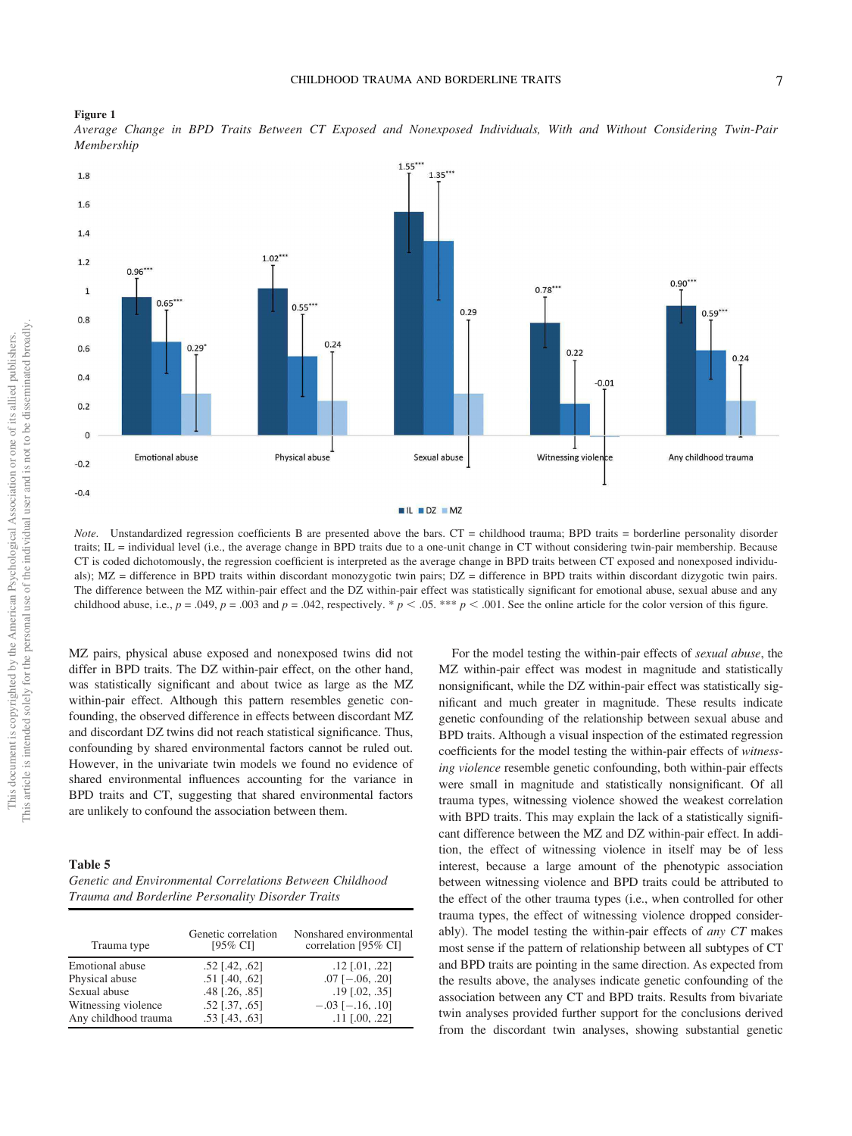



*Average Change in BPD Traits Between CT Exposed and Nonexposed Individuals, With and Without Considering Twin-Pair Membership*

*Note*. Unstandardized regression coefficients B are presented above the bars. CT = childhood trauma; BPD traits = borderline personality disorder traits; IL = individual level (i.e., the average change in BPD traits due to a one-unit change in CT without considering twin-pair membership. Because CT is coded dichotomously, the regression coefficient is interpreted as the average change in BPD traits between CT exposed and nonexposed individuals); MZ = difference in BPD traits within discordant monozygotic twin pairs; DZ = difference in BPD traits within discordant dizygotic twin pairs. The difference between the MZ within-pair effect and the DZ within-pair effect was statistically significant for emotional abuse, sexual abuse and any childhood abuse, i.e.,  $p = .049$ ,  $p = .003$  and  $p = .042$ , respectively. \*  $p < .05$ . \*\*\*  $p < .001$ . See the online article for the color version of this figure.

MZ pairs, physical abuse exposed and nonexposed twins did not differ in BPD traits. The DZ within-pair effect, on the other hand, was statistically significant and about twice as large as the MZ within-pair effect. Although this pattern resembles genetic confounding, the observed difference in effects between discordant MZ and discordant DZ twins did not reach statistical significance. Thus, confounding by shared environmental factors cannot be ruled out. However, in the univariate twin models we found no evidence of shared environmental influences accounting for the variance in BPD traits and CT, suggesting that shared environmental factors are unlikely to confound the association between them.

#### Table 5

| Genetic and Environmental Correlations Between Childhood |
|----------------------------------------------------------|
| Trauma and Borderline Personality Disorder Traits        |

| Trauma type          | Genetic correlation<br>[95% CI] | Nonshared environmental<br>correlation [95% CI] |
|----------------------|---------------------------------|-------------------------------------------------|
| Emotional abuse      | $.52$ [.42, .62]                | $.12$ [.01, .22]                                |
| Physical abuse       | $.51$ [.40, .62]                | $.07$ [ $-.06, .20$ ]                           |
| Sexual abuse         | $.48$ [ $.26$ , $.85$ ]         | $.19$ [.02, .35]                                |
| Witnessing violence  | $.52$ [ $.37, .65$ ]            | $-.03$ [ $-.16, .10$ ]                          |
| Any childhood trauma | $.53$ [.43, .63]                | $.11$ [.00, .22]                                |

For the model testing the within-pair effects of *sexual abuse*, the MZ within-pair effect was modest in magnitude and statistically nonsignificant, while the DZ within-pair effect was statistically significant and much greater in magnitude. These results indicate genetic confounding of the relationship between sexual abuse and BPD traits. Although a visual inspection of the estimated regression coefficients for the model testing the within-pair effects of *witnessing violence* resemble genetic confounding, both within-pair effects were small in magnitude and statistically nonsignificant. Of all trauma types, witnessing violence showed the weakest correlation with BPD traits. This may explain the lack of a statistically significant difference between the MZ and DZ within-pair effect. In addition, the effect of witnessing violence in itself may be of less interest, because a large amount of the phenotypic association between witnessing violence and BPD traits could be attributed to the effect of the other trauma types (i.e., when controlled for other trauma types, the effect of witnessing violence dropped considerably). The model testing the within-pair effects of *any CT* makes most sense if the pattern of relationship between all subtypes of CT and BPD traits are pointing in the same direction. As expected from the results above, the analyses indicate genetic confounding of the association between any CT and BPD traits. Results from bivariate twin analyses provided further support for the conclusions derived from the discordant twin analyses, showing substantial genetic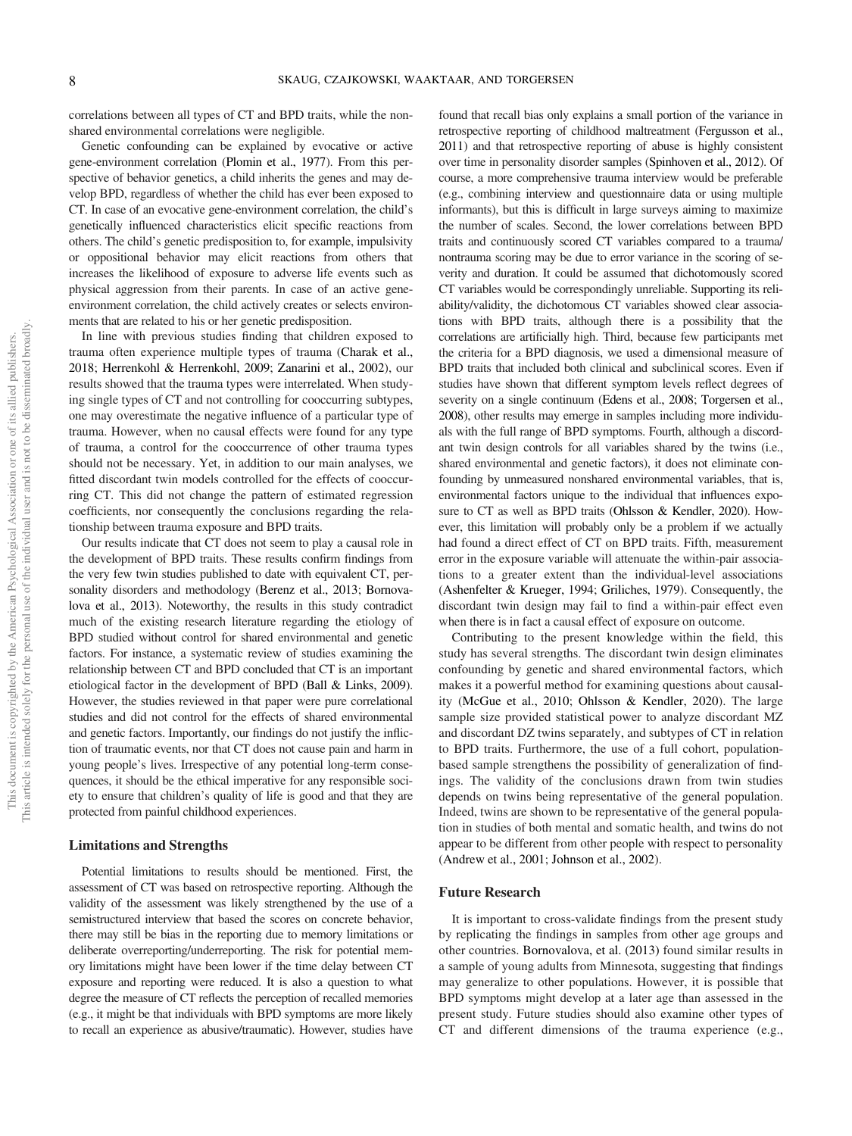correlations between all types of CT and BPD traits, while the nonshared environmental correlations were negligible.

Genetic confounding can be explained by evocative or active gene-environment correlation (Plomin et al., 1977). From this perspective of behavior genetics, a child inherits the genes and may develop BPD, regardless of whether the child has ever been exposed to CT. In case of an evocative gene-environment correlation, the child's genetically influenced characteristics elicit specific reactions from others. The child's genetic predisposition to, for example, impulsivity or oppositional behavior may elicit reactions from others that increases the likelihood of exposure to adverse life events such as physical aggression from their parents. In case of an active geneenvironment correlation, the child actively creates or selects environments that are related to his or her genetic predisposition.

In line with previous studies finding that children exposed to trauma often experience multiple types of trauma (Charak et al., 2018; Herrenkohl & Herrenkohl, 2009; Zanarini et al., 2002), our results showed that the trauma types were interrelated. When studying single types of CT and not controlling for cooccurring subtypes, one may overestimate the negative influence of a particular type of trauma. However, when no causal effects were found for any type of trauma, a control for the cooccurrence of other trauma types should not be necessary. Yet, in addition to our main analyses, we fitted discordant twin models controlled for the effects of cooccurring CT. This did not change the pattern of estimated regression coefficients, nor consequently the conclusions regarding the relationship between trauma exposure and BPD traits.

Our results indicate that CT does not seem to play a causal role in the development of BPD traits. These results confirm findings from the very few twin studies published to date with equivalent CT, personality disorders and methodology (Berenz et al., 2013; Bornovalova et al., 2013). Noteworthy, the results in this study contradict much of the existing research literature regarding the etiology of BPD studied without control for shared environmental and genetic factors. For instance, a systematic review of studies examining the relationship between CT and BPD concluded that CT is an important etiological factor in the development of BPD (Ball & Links, 2009). However, the studies reviewed in that paper were pure correlational studies and did not control for the effects of shared environmental and genetic factors. Importantly, our findings do not justify the infliction of traumatic events, nor that CT does not cause pain and harm in young people's lives. Irrespective of any potential long-term consequences, it should be the ethical imperative for any responsible society to ensure that children's quality of life is good and that they are protected from painful childhood experiences.

#### Limitations and Strengths

Potential limitations to results should be mentioned. First, the assessment of CT was based on retrospective reporting. Although the validity of the assessment was likely strengthened by the use of a semistructured interview that based the scores on concrete behavior, there may still be bias in the reporting due to memory limitations or deliberate overreporting/underreporting. The risk for potential memory limitations might have been lower if the time delay between CT exposure and reporting were reduced. It is also a question to what degree the measure of CT reflects the perception of recalled memories (e.g., it might be that individuals with BPD symptoms are more likely to recall an experience as abusive/traumatic). However, studies have

found that recall bias only explains a small portion of the variance in retrospective reporting of childhood maltreatment (Fergusson et al., 2011) and that retrospective reporting of abuse is highly consistent over time in personality disorder samples (Spinhoven et al., 2012). Of course, a more comprehensive trauma interview would be preferable (e.g., combining interview and questionnaire data or using multiple informants), but this is difficult in large surveys aiming to maximize the number of scales. Second, the lower correlations between BPD traits and continuously scored CT variables compared to a trauma/ nontrauma scoring may be due to error variance in the scoring of severity and duration. It could be assumed that dichotomously scored CT variables would be correspondingly unreliable. Supporting its reliability/validity, the dichotomous CT variables showed clear associations with BPD traits, although there is a possibility that the correlations are artificially high. Third, because few participants met the criteria for a BPD diagnosis, we used a dimensional measure of BPD traits that included both clinical and subclinical scores. Even if studies have shown that different symptom levels reflect degrees of severity on a single continuum (Edens et al., 2008; Torgersen et al., 2008), other results may emerge in samples including more individuals with the full range of BPD symptoms. Fourth, although a discordant twin design controls for all variables shared by the twins (i.e., shared environmental and genetic factors), it does not eliminate confounding by unmeasured nonshared environmental variables, that is, environmental factors unique to the individual that influences exposure to CT as well as BPD traits (Ohlsson & Kendler, 2020). However, this limitation will probably only be a problem if we actually had found a direct effect of CT on BPD traits. Fifth, measurement error in the exposure variable will attenuate the within-pair associations to a greater extent than the individual-level associations (Ashenfelter & Krueger, 1994; Griliches, 1979). Consequently, the discordant twin design may fail to find a within-pair effect even when there is in fact a causal effect of exposure on outcome.

Contributing to the present knowledge within the field, this study has several strengths. The discordant twin design eliminates confounding by genetic and shared environmental factors, which makes it a powerful method for examining questions about causality (McGue et al., 2010; Ohlsson & Kendler, 2020). The large sample size provided statistical power to analyze discordant MZ and discordant DZ twins separately, and subtypes of CT in relation to BPD traits. Furthermore, the use of a full cohort, populationbased sample strengthens the possibility of generalization of findings. The validity of the conclusions drawn from twin studies depends on twins being representative of the general population. Indeed, twins are shown to be representative of the general population in studies of both mental and somatic health, and twins do not appear to be different from other people with respect to personality (Andrew et al., 2001; Johnson et al., 2002).

#### Future Research

It is important to cross-validate findings from the present study by replicating the findings in samples from other age groups and other countries. Bornovalova, et al. (2013) found similar results in a sample of young adults from Minnesota, suggesting that findings may generalize to other populations. However, it is possible that BPD symptoms might develop at a later age than assessed in the present study. Future studies should also examine other types of CT and different dimensions of the trauma experience (e.g.,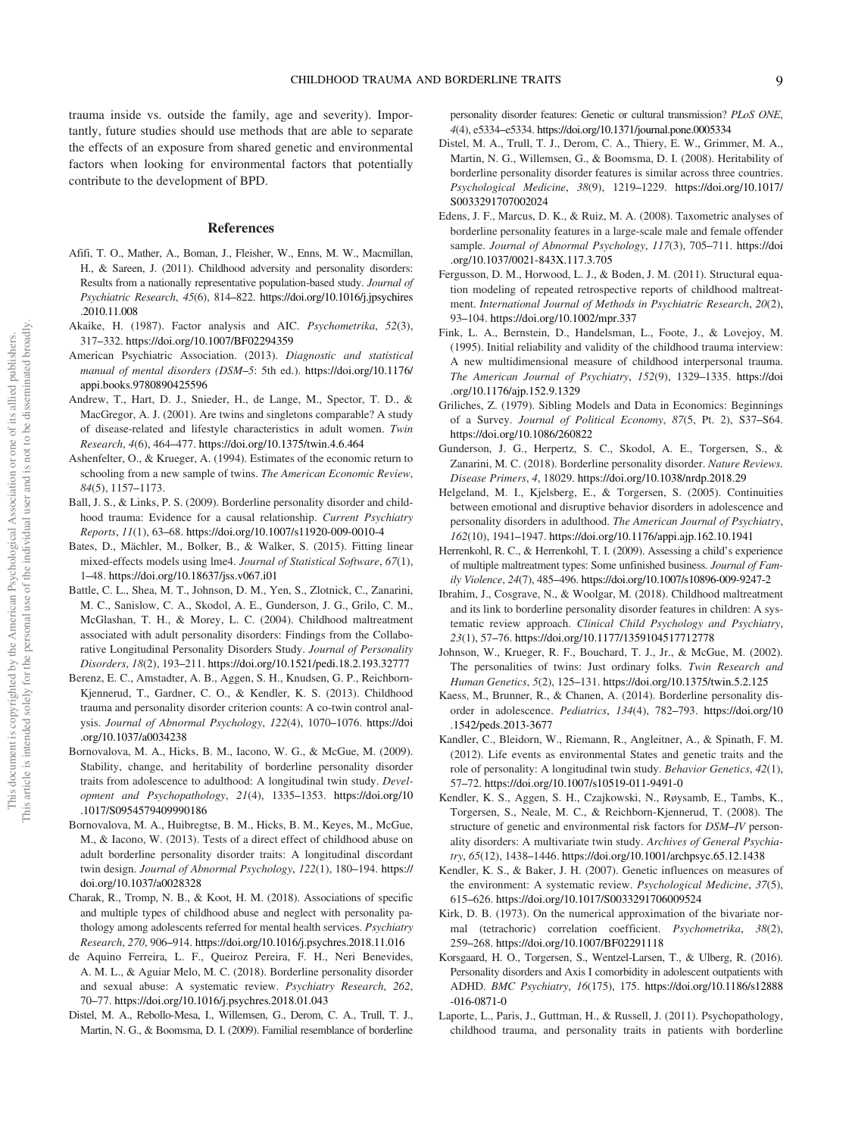trauma inside vs. outside the family, age and severity). Importantly, future studies should use methods that are able to separate the effects of an exposure from shared genetic and environmental factors when looking for environmental factors that potentially contribute to the development of BPD.

## References

- Afifi, T. O., Mather, A., Boman, J., Fleisher, W., Enns, M. W., Macmillan, H., & Sareen, J. (2011). Childhood adversity and personality disorders: Results from a nationally representative population-based study. *Journal of Psychiatric Research*, *45*(6), 814–822. https://doi.org/10.1016/j.jpsychires .2010.11.008
- Akaike, H. (1987). Factor analysis and AIC. *Psychometrika*, *52*(3), 317–332. https://doi.org/10.1007/BF02294359
- American Psychiatric Association. (2013). *Diagnostic and statistical manual of mental disorders (DSM*–*5*: 5th ed.). https://doi.org/10.1176/ appi.books.9780890425596
- Andrew, T., Hart, D. J., Snieder, H., de Lange, M., Spector, T. D., & MacGregor, A. J. (2001). Are twins and singletons comparable? A study of disease-related and lifestyle characteristics in adult women. *Twin Research*, *4*(6), 464–477. https://doi.org/10.1375/twin.4.6.464
- Ashenfelter, O., & Krueger, A. (1994). Estimates of the economic return to schooling from a new sample of twins. *The American Economic Review*, *84*(5), 1157–1173.
- Ball, J. S., & Links, P. S. (2009). Borderline personality disorder and childhood trauma: Evidence for a causal relationship. *Current Psychiatry Reports*, *11*(1), 63–68. https://doi.org/10.1007/s11920-009-0010-4
- Bates, D., Mächler, M., Bolker, B., & Walker, S. (2015). Fitting linear mixed-effects models using lme4. *Journal of Statistical Software*, *67*(1), 1–48. https://doi.org/10.18637/jss.v067.i01
- Battle, C. L., Shea, M. T., Johnson, D. M., Yen, S., Zlotnick, C., Zanarini, M. C., Sanislow, C. A., Skodol, A. E., Gunderson, J. G., Grilo, C. M., McGlashan, T. H., & Morey, L. C. (2004). Childhood maltreatment associated with adult personality disorders: Findings from the Collaborative Longitudinal Personality Disorders Study. *Journal of Personality Disorders*, *18*(2), 193–211. https://doi.org/10.1521/pedi.18.2.193.32777
- Berenz, E. C., Amstadter, A. B., Aggen, S. H., Knudsen, G. P., Reichborn-Kjennerud, T., Gardner, C. O., & Kendler, K. S. (2013). Childhood trauma and personality disorder criterion counts: A co-twin control analysis. *Journal of Abnormal Psychology*, *122*(4), 1070–1076. https://doi .org/10.1037/a0034238
- Bornovalova, M. A., Hicks, B. M., Iacono, W. G., & McGue, M. (2009). Stability, change, and heritability of borderline personality disorder traits from adolescence to adulthood: A longitudinal twin study. *Development and Psychopathology*, *21*(4), 1335–1353. https://doi.org/10 .1017/S0954579409990186
- Bornovalova, M. A., Huibregtse, B. M., Hicks, B. M., Keyes, M., McGue, M., & Iacono, W. (2013). Tests of a direct effect of childhood abuse on adult borderline personality disorder traits: A longitudinal discordant twin design. *Journal of Abnormal Psychology*, *122*(1), 180–194. https:// doi.org/10.1037/a0028328
- Charak, R., Tromp, N. B., & Koot, H. M. (2018). Associations of specific and multiple types of childhood abuse and neglect with personality pathology among adolescents referred for mental health services. *Psychiatry Research*, *270*, 906–914. https://doi.org/10.1016/j.psychres.2018.11.016
- de Aquino Ferreira, L. F., Queiroz Pereira, F. H., Neri Benevides, A. M. L., & Aguiar Melo, M. C. (2018). Borderline personality disorder and sexual abuse: A systematic review. *Psychiatry Research*, *262*, 70–77. https://doi.org/10.1016/j.psychres.2018.01.043
- Distel, M. A., Rebollo-Mesa, I., Willemsen, G., Derom, C. A., Trull, T. J., Martin, N. G., & Boomsma, D. I. (2009). Familial resemblance of borderline

personality disorder features: Genetic or cultural transmission? *PLoS ONE*, *4*(4), e5334–e5334. https://doi.org/10.1371/journal.pone.0005334

- Distel, M. A., Trull, T. J., Derom, C. A., Thiery, E. W., Grimmer, M. A., Martin, N. G., Willemsen, G., & Boomsma, D. I. (2008). Heritability of borderline personality disorder features is similar across three countries. *Psychological Medicine*, *38*(9), 1219–1229. https://doi.org/10.1017/ S0033291707002024
- Edens, J. F., Marcus, D. K., & Ruiz, M. A. (2008). Taxometric analyses of borderline personality features in a large-scale male and female offender sample. *Journal of Abnormal Psychology*, *117*(3), 705–711. https://doi .org/10.1037/0021-843X.117.3.705
- Fergusson, D. M., Horwood, L. J., & Boden, J. M. (2011). Structural equation modeling of repeated retrospective reports of childhood maltreatment. *International Journal of Methods in Psychiatric Research*, *20*(2), 93–104. https://doi.org/10.1002/mpr.337
- Fink, L. A., Bernstein, D., Handelsman, L., Foote, J., & Lovejoy, M. (1995). Initial reliability and validity of the childhood trauma interview: A new multidimensional measure of childhood interpersonal trauma. *The American Journal of Psychiatry*, *152*(9), 1329–1335. https://doi .org/10.1176/ajp.152.9.1329
- Griliches, Z. (1979). Sibling Models and Data in Economics: Beginnings of a Survey. *Journal of Political Economy*, *87*(5, Pt. 2), S37–S64. https://doi.org/10.1086/260822
- Gunderson, J. G., Herpertz, S. C., Skodol, A. E., Torgersen, S., & Zanarini, M. C. (2018). Borderline personality disorder. *Nature Reviews. Disease Primers*, *4*, 18029. https://doi.org/10.1038/nrdp.2018.29
- Helgeland, M. I., Kjelsberg, E., & Torgersen, S. (2005). Continuities between emotional and disruptive behavior disorders in adolescence and personality disorders in adulthood. *The American Journal of Psychiatry*, *162*(10), 1941–1947. https://doi.org/10.1176/appi.ajp.162.10.1941
- Herrenkohl, R. C., & Herrenkohl, T. I. (2009). Assessing a child's experience of multiple maltreatment types: Some unfinished business. *Journal of Family Violence*, *24*(7), 485–496. https://doi.org/10.1007/s10896-009-9247-2
- Ibrahim, J., Cosgrave, N., & Woolgar, M. (2018). Childhood maltreatment and its link to borderline personality disorder features in children: A systematic review approach. *Clinical Child Psychology and Psychiatry*, *23*(1), 57–76. https://doi.org/10.1177/1359104517712778
- Johnson, W., Krueger, R. F., Bouchard, T. J., Jr., & McGue, M. (2002). The personalities of twins: Just ordinary folks. *Twin Research and Human Genetics*, *5*(2), 125–131. https://doi.org/10.1375/twin.5.2.125
- Kaess, M., Brunner, R., & Chanen, A. (2014). Borderline personality disorder in adolescence. *Pediatrics*, *134*(4), 782–793. https://doi.org/10 .1542/peds.2013-3677
- Kandler, C., Bleidorn, W., Riemann, R., Angleitner, A., & Spinath, F. M. (2012). Life events as environmental States and genetic traits and the role of personality: A longitudinal twin study. *Behavior Genetics*, *42*(1), 57–72. https://doi.org/10.1007/s10519-011-9491-0
- Kendler, K. S., Aggen, S. H., Czajkowski, N., Røysamb, E., Tambs, K., Torgersen, S., Neale, M. C., & Reichborn-Kjennerud, T. (2008). The structure of genetic and environmental risk factors for *DSM*–*IV* personality disorders: A multivariate twin study. *Archives of General Psychiatry*, *65*(12), 1438–1446. https://doi.org/10.1001/archpsyc.65.12.1438
- Kendler, K. S., & Baker, J. H. (2007). Genetic influences on measures of the environment: A systematic review. *Psychological Medicine*, *37*(5), 615–626. https://doi.org/10.1017/S0033291706009524
- Kirk, D. B. (1973). On the numerical approximation of the bivariate normal (tetrachoric) correlation coefficient. *Psychometrika*, *38*(2), 259–268. https://doi.org/10.1007/BF02291118
- Korsgaard, H. O., Torgersen, S., Wentzel-Larsen, T., & Ulberg, R. (2016). Personality disorders and Axis I comorbidity in adolescent outpatients with ADHD. *BMC Psychiatry*, *16*(175), 175. https://doi.org/10.1186/s12888 -016-0871-0
- Laporte, L., Paris, J., Guttman, H., & Russell, J. (2011). Psychopathology, childhood trauma, and personality traits in patients with borderline